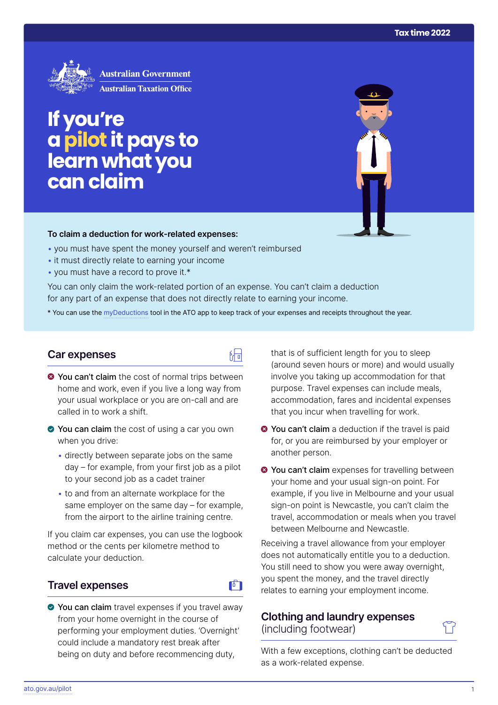

# **If you're apilot it pays to learn what you can claim**

#### **To claim a deduction for work‑related expenses:**

- you must have spent the money yourself and weren't reimbursed
- it must directly relate to earning your income
- you must have a record to prove it.\*

You can only claim the work-related portion of an expense. You can't claim a deduction for any part of an expense that does not directly relate to earning your income.

\* You can use the [myDeductions](https://ato.gov.au/mydeductions) tool in the ATO app to keep track of your expenses and receipts throughout the year.

品

### **Car expenses**

- $\bullet$  You can't claim the cost of normal trips between home and work, even if you live a long way from your usual workplace or you are on-call and are called in to work a shift.
- ◆ You can claim the cost of using a car you own when you drive:
	- directly between separate jobs on the same day – for example, from your first job as a pilot to your second job as a cadet trainer
	- to and from an alternate workplace for the same employer on the same day – for example, from the airport to the airline training centre.

If you claim car expenses, you can use the logbook method or the cents per kilometre method to calculate your deduction.

### **Travel expenses**

# $\mathbf{F}$

◆ You can claim travel expenses if you travel away from your home overnight in the course of performing your employment duties. 'Overnight' could include a mandatory rest break after being on duty and before recommencing duty,

that is of sufficient length for you to sleep (around seven hours or more) and would usually involve you taking up accommodation for that purpose. Travel expenses can include meals, accommodation, fares and incidental expenses that you incur when travelling for work.

- **◆ You can't claim** a deduction if the travel is paid for, or you are reimbursed by your employer or another person.
- $\bullet$  **You can't claim** expenses for travelling between your home and your usual sign-on point. For example, if you live in Melbourne and your usual sign-on point is Newcastle, you can't claim the travel, accommodation or meals when you travel between Melbourne and Newcastle.

Receiving a travel allowance from your employer does not automatically entitle you to a deduction. You still need to show you were away overnight, you spent the money, and the travel directly relates to earning your employment income.

# **Clothing and laundry expenses**

(including footwear)



With a few exceptions, clothing can't be deducted as a work-related expense.